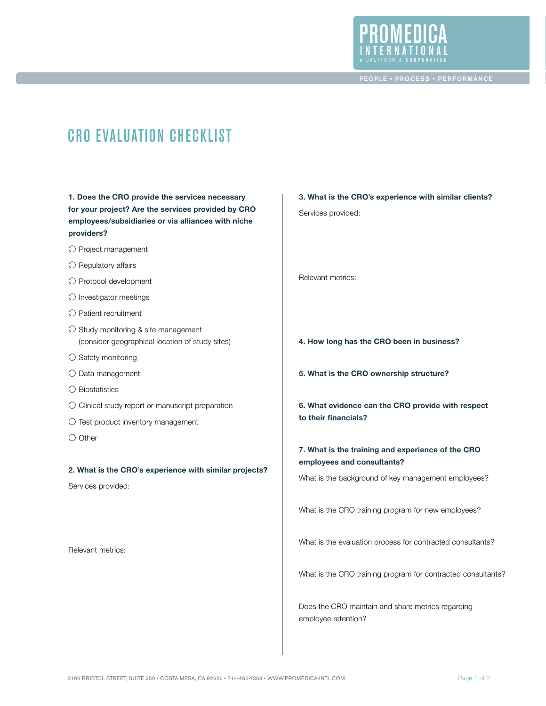

 PEOPLE • PROCESS • PERFORMANCE

# CRO Evaluation Checklist

**1. Does the CRO provide the services necessary for your project? Are the services provided by CRO employees/subsidiaries or via alliances with niche providers?**

- O Project management
- O Regulatory affairs
- O Protocol development
- O Investigator meetings
- O Patient recruitment
- O Study monitoring & site management (consider geographical location of study sites)
- O Safety monitoring
- O Data management
- O Biostatistics
- O Clinical study report or manuscript preparation
- O Test product inventory management
- O Other

**2. What is the CRO's experience with similar projects?**

Services provided:

Relevant metrics:

- **3. What is the CRO's experience with similar clients?** Services provided: Relevant metrics:
- **4. How long has the CRO been in business?**
- **5. What is the CRO ownership structure?**
- **6. What evidence can the CRO provide with respect to their financials?**
- **7. What is the training and experience of the CRO employees and consultants?**

What is the background of key management employees?

What is the CRO training program for new employees?

What is the evaluation process for contracted consultants?

What is the CRO training program for contracted consultants?

Does the CRO maintain and share metrics regarding employee retention?